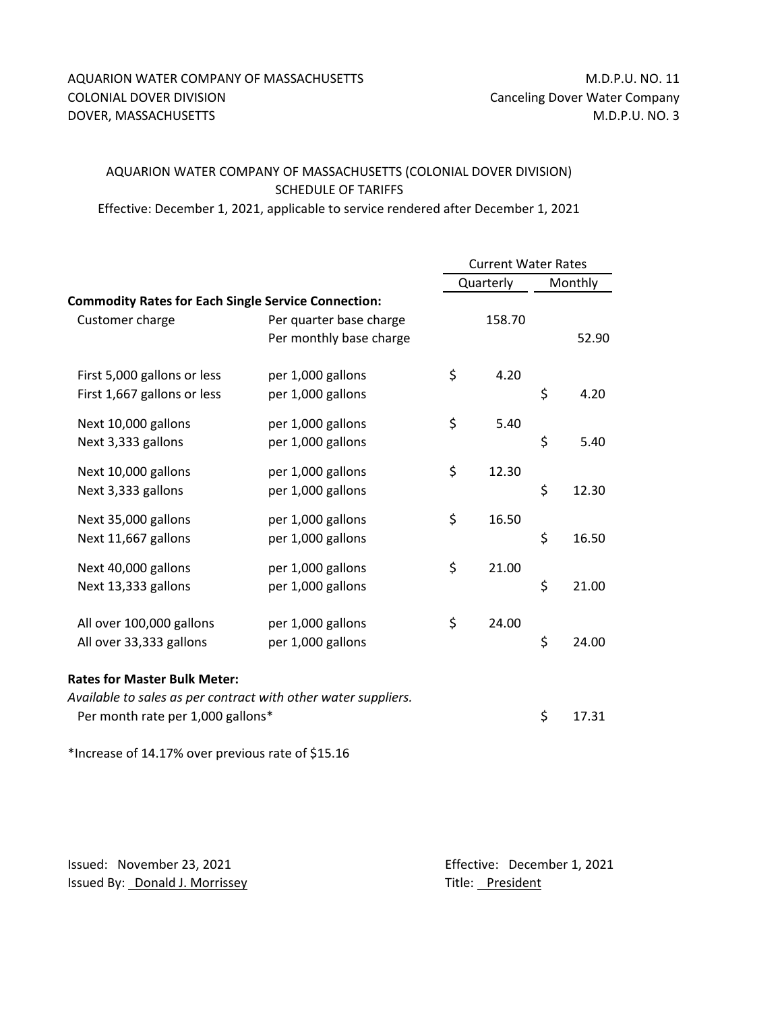## AQUARION WATER COMPANY OF MASSACHUSETTS M.D.P.U. NO. 11 COLONIAL DOVER DIVISION **COLONIAL DOVER DIVISION** COLONIAL DOVER DIVISION DOVER, MASSACHUSETTS MASSACHUSETTS AND A SERIES AND A SERIES AND M.D.P.U. NO. 3

## AQUARION WATER COMPANY OF MASSACHUSETTS (COLONIAL DOVER DIVISION) SCHEDULE OF TARIFFS

Effective: December 1, 2021, applicable to service rendered after December 1, 2021

|                                                                                                     |                                                    | <b>Current Water Rates</b> |        |         |       |
|-----------------------------------------------------------------------------------------------------|----------------------------------------------------|----------------------------|--------|---------|-------|
|                                                                                                     |                                                    | Quarterly                  |        | Monthly |       |
| <b>Commodity Rates for Each Single Service Connection:</b>                                          |                                                    |                            |        |         |       |
| Customer charge                                                                                     | Per quarter base charge<br>Per monthly base charge |                            | 158.70 |         | 52.90 |
| First 5,000 gallons or less<br>First 1,667 gallons or less                                          | per 1,000 gallons<br>per 1,000 gallons             | \$                         | 4.20   | \$      | 4.20  |
| Next 10,000 gallons<br>Next 3,333 gallons                                                           | per 1,000 gallons<br>per 1,000 gallons             | \$                         | 5.40   | \$      | 5.40  |
| Next 10,000 gallons<br>Next 3,333 gallons                                                           | per 1,000 gallons<br>per 1,000 gallons             | \$                         | 12.30  | \$      | 12.30 |
| Next 35,000 gallons<br>Next 11,667 gallons                                                          | per 1,000 gallons<br>per 1,000 gallons             | \$                         | 16.50  | \$      | 16.50 |
| Next 40,000 gallons<br>Next 13,333 gallons                                                          | per 1,000 gallons<br>per 1,000 gallons             | \$                         | 21.00  | \$      | 21.00 |
| All over 100,000 gallons<br>All over 33,333 gallons                                                 | per 1,000 gallons<br>per 1,000 gallons             | \$                         | 24.00  | \$      | 24.00 |
| <b>Rates for Master Bulk Meter:</b>                                                                 |                                                    |                            |        |         |       |
| Available to sales as per contract with other water suppliers.<br>Per month rate per 1,000 gallons* |                                                    |                            |        | \$      | 17.31 |

\*Increase of 14.17% over previous rate of \$15.16

Issued: November 23, 2021 **Effective: December 1, 2021** Issued By: **Donald J. Morrissey** Title: **President**